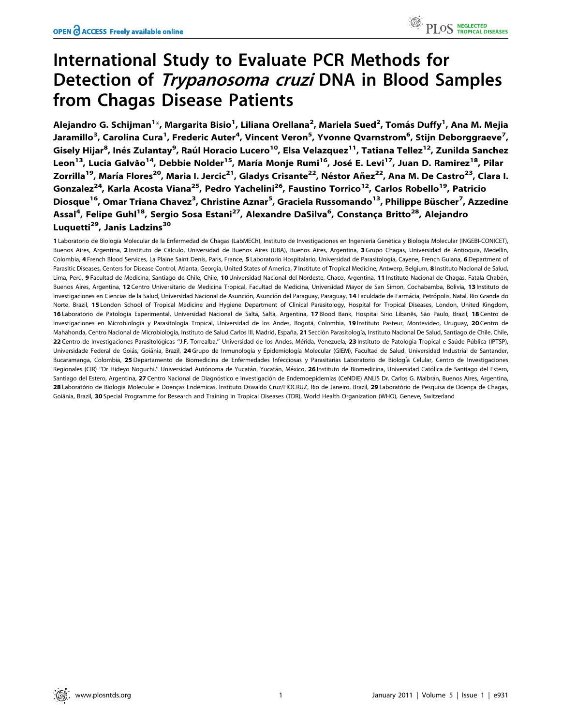# International Study to Evaluate PCR Methods for Detection of Trypanosoma cruzi DNA in Blood Samples from Chagas Disease Patients

Alejandro G. Schijman<sup>1</sup>\*, Margarita Bisio<sup>1</sup>, Liliana Orellana<sup>2</sup>, Mariela Sued<sup>2</sup>, Tomás Duffy<sup>1</sup>, Ana M. Mejia Jaramillo<sup>3</sup>, Carolina Cura<sup>1</sup>, Frederic Auter<sup>4</sup>, Vincent Veron<sup>5</sup>, Yvonne Qvarnstrom<sup>6</sup>, Stijn Deborggraeve<sup>7</sup>, Gisely Hijar<sup>8</sup>, Inés Zulantay<sup>9</sup>, Raúl Horacio Lucero<sup>10</sup>, Elsa Velazquez<sup>11</sup>, Tatiana Tellez<sup>12</sup>, Zunilda Sanchez Leon<sup>13</sup>, Lucia Galvão<sup>14</sup>, Debbie Nolder<sup>15</sup>, María Monje Rumi<sup>16</sup>, José E. Levi<sup>17</sup>, Juan D. Ramirez<sup>18</sup>, Pilar Zorrilla<sup>19</sup>, María Flores<sup>20</sup>, Maria I. Jercic<sup>21</sup>, Gladys Crisante<sup>22</sup>, Néstor Añez<sup>22</sup>, Ana M. De Castro<sup>23</sup>, Clara I. Gonzalez<sup>24</sup>, Karla Acosta Viana<sup>25</sup>, Pedro Yachelini<sup>26</sup>, Faustino Torrico<sup>12</sup>, Carlos Robello<sup>19</sup>, Patricio Diosque<sup>16</sup>, Omar Triana Chavez<sup>3</sup>, Christine Aznar<sup>5</sup>, Graciela Russomando<sup>13</sup>, Philippe Büscher<sup>7</sup>, Azzedine Assal<sup>4</sup>, Felipe Guhl<sup>18</sup>, Sergio Sosa Estani<sup>27</sup>, Alexandre DaSilva<sup>6</sup>, Constança Britto<sup>28</sup>, Alejandro Luquetti<sup>29</sup>, Janis Ladzins<sup>30</sup>

1 Laboratorio de Biología Molecular de la Enfermedad de Chagas (LabMECh), Instituto de Investigaciones en Ingeniería Genética y Biología Molecular (INGEBI-CONICET), Buenos Aires, Argentina, 2 Instituto de Cálculo, Universidad de Buenos Aires (UBA), Buenos Aires, Argentina, 3 Grupo Chagas, Universidad de Antioquia, Medellín, Colombia, 4 French Blood Services, La Plaine Saint Denis, Paris, France, 5 Laboratorio Hospitalario, Universidad de Parasitología, Cayene, French Guiana, 6 Department of Parasitic Diseases, Centers for Disease Control, Atlanta, Georgia, United States of America, 7 Institute of Tropical Medicine, Antwerp, Belgium, 8 Instituto Nacional de Salud, Lima, Perú, 9 Facultad de Medicina, Santiago de Chile, Chile, 10 Universidad Nacional del Nordeste, Chaco, Argentina, 11 Instituto Nacional de Chagas, Fatala Chabén, Buenos Aires, Argentina, 12 Centro Universitario de Medicina Tropical, Facultad de Medicina, Universidad Mayor de San Simon, Cochabamba, Bolivia, 13 Instituto de Investigaciones en Ciencias de la Salud, Universidad Nacional de Asunción, Asunción del Paraguay, Paraguay, 14 Faculdade de Farmácia, Petrópolis, Natal, Rio Grande do Norte, Brazil, 15 London School of Tropical Medicine and Hygiene Department of Clinical Parasitology, Hospital for Tropical Diseases, London, United Kingdom, 16 Laboratorio de Patología Experimental, Universidad Nacional de Salta, Salta, Argentina, 17 Blood Bank, Hospital Sirio Libanês, São Paulo, Brazil, 18 Centro de Investigaciones en Microbiología y Parasitología Tropical, Universidad de los Andes, Bogotá, Colombia, 19 Instituto Pasteur, Montevideo, Uruguay, 20 Centro de Mahahonda, Centro Nacional de Microbiologia, Instituto de Salud Carlos III, Madrid, España, 21 Sección Parasitología, Instituto Nacional De Salud, Santiago de Chile, Chile, 22 Centro de Investigaciones Parasitológicas "J.F. Torrealba," Universidad de los Andes, Mérida, Venezuela, 23 Instituto de Patologia Tropical e Saúde Pública (IPTSP), Universidade Federal de Goiás, Goiânia, Brazil, 24 Grupo de Inmunología y Epidemiología Molecular (GIEM), Facultad de Salud, Universidad Industrial de Santander, Bucaramanga, Colombia, 25 Departamento de Biomedicina de Enfermedades Infecciosas y Parasitarias Laboratorio de Biología Celular, Centro de Investigaciones Regionales (CIR) "Dr Hideyo Noguchi," Universidad Autónoma de Yucatán, Yucatán, México, 26 Instituto de Biomedicina, Universidad Católica de Santiago del Estero, Santiago del Estero, Argentina, 27 Centro Nacional de Diagnóstico e Investigación de Endemoepidemias (CeNDIE) ANLIS Dr. Carlos G. Malbrán, Buenos Aires, Argentina, 28 Laboratório de Biologia Molecular e Doencas Endêmicas, Instituto Oswaldo Cruz/FIOCRUZ, Rio de Janeiro, Brazil, 29 Laboratório de Pesquisa de Doenca de Chagas, Goiania, Brazil, 30 Special Programme for Research and Training in Tropical Diseases (TDR), World Health Organization (WHO), Geneve, Switzerland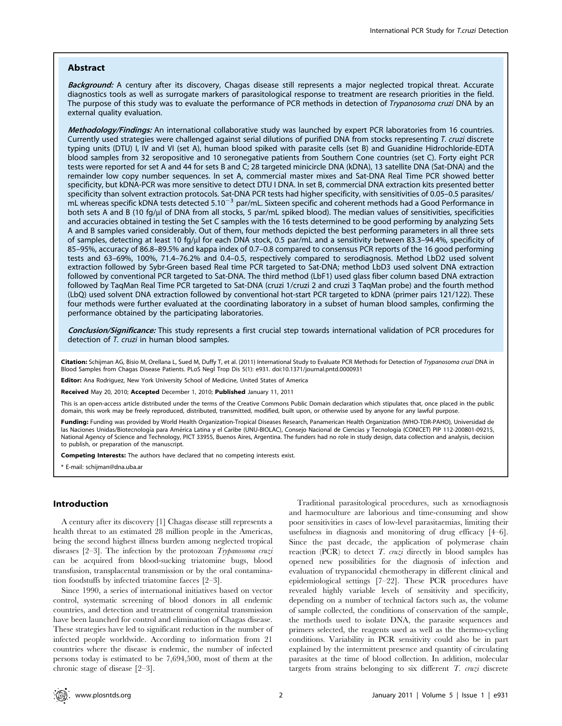# Abstract

Background: A century after its discovery, Chagas disease still represents a major neglected tropical threat. Accurate diagnostics tools as well as surrogate markers of parasitological response to treatment are research priorities in the field. The purpose of this study was to evaluate the performance of PCR methods in detection of Trypanosoma cruzi DNA by an external quality evaluation.

Methodology/Findings: An international collaborative study was launched by expert PCR laboratories from 16 countries. Currently used strategies were challenged against serial dilutions of purified DNA from stocks representing T. cruzi discrete typing units (DTU) I, IV and VI (set A), human blood spiked with parasite cells (set B) and Guanidine Hidrochloride-EDTA blood samples from 32 seropositive and 10 seronegative patients from Southern Cone countries (set C). Forty eight PCR tests were reported for set A and 44 for sets B and C; 28 targeted minicircle DNA (kDNA), 13 satellite DNA (Sat-DNA) and the remainder low copy number sequences. In set A, commercial master mixes and Sat-DNA Real Time PCR showed better specificity, but kDNA-PCR was more sensitive to detect DTU I DNA. In set B, commercial DNA extraction kits presented better specificity than solvent extraction protocols. Sat-DNA PCR tests had higher specificity, with sensitivities of 0.05–0.5 parasites/ mL whereas specific kDNA tests detected 5.10<sup>-3</sup> par/mL. Sixteen specific and coherent methods had a Good Performance in both sets A and B (10 fg/ $\mu$ l of DNA from all stocks, 5 par/mL spiked blood). The median values of sensitivities, specificities and accuracies obtained in testing the Set C samples with the 16 tests determined to be good performing by analyzing Sets A and B samples varied considerably. Out of them, four methods depicted the best performing parameters in all three sets of samples, detecting at least 10 fg/µl for each DNA stock, 0.5 par/mL and a sensitivity between 83.3-94.4%, specificity of 85–95%, accuracy of 86.8–89.5% and kappa index of 0.7–0.8 compared to consensus PCR reports of the 16 good performing tests and 63–69%, 100%, 71.4–76.2% and 0.4–0.5, respectively compared to serodiagnosis. Method LbD2 used solvent extraction followed by Sybr-Green based Real time PCR targeted to Sat-DNA; method LbD3 used solvent DNA extraction followed by conventional PCR targeted to Sat-DNA. The third method (LbF1) used glass fiber column based DNA extraction followed by TaqMan Real Time PCR targeted to Sat-DNA (cruzi 1/cruzi 2 and cruzi 3 TaqMan probe) and the fourth method (LbQ) used solvent DNA extraction followed by conventional hot-start PCR targeted to kDNA (primer pairs 121/122). These four methods were further evaluated at the coordinating laboratory in a subset of human blood samples, confirming the performance obtained by the participating laboratories.

Conclusion/Significance: This study represents a first crucial step towards international validation of PCR procedures for detection of  $\overline{T}$ . cruzi in human blood samples.

Citation: Schijman AG, Bisio M, Orellana L, Sued M, Duffy T, et al. (2011) International Study to Evaluate PCR Methods for Detection of Trypanosoma cruzi DNA in Blood Samples from Chagas Disease Patients. PLoS Negl Trop Dis 5(1): e931. doi:10.1371/journal.pntd.0000931

Editor: Ana Rodriguez, New York University School of Medicine, United States of America

Received May 20, 2010; Accepted December 1, 2010; Published January 11, 2011

This is an open-access article distributed under the terms of the Creative Commons Public Domain declaration which stipulates that, once placed in the public domain, this work may be freely reproduced, distributed, transmitted, modified, built upon, or otherwise used by anyone for any lawful purpose.

Funding: Funding was provided by World Health Organization-Tropical Diseases Research, Panamerican Health Organization (WHO-TDR-PAHO), Universidad de las Naciones Unidas/Biotecnología para América Latina y el Caribe (UNU-BIOLAC), Consejo Nacional de Ciencias y Tecnología (CONICET) PIP 112-200801-09215, National Agency of Science and Technology, PICT 33955, Buenos Aires, Argentina. The funders had no role in study design, data collection and analysis, decision to publish, or preparation of the manuscript.

Competing Interests: The authors have declared that no competing interests exist.

\* E-mail: schijman@dna.uba.ar

# Introduction

A century after its discovery [1] Chagas disease still represents a health threat to an estimated 28 million people in the Americas, being the second highest illness burden among neglected tropical diseases [2–3]. The infection by the protozoan *Trypanosoma cruzi* can be acquired from blood-sucking triatomine bugs, blood transfusion, transplacental transmission or by the oral contamination foodstuffs by infected triatomine faeces [2–3].

Since 1990, a series of international initiatives based on vector control, systematic screening of blood donors in all endemic countries, and detection and treatment of congenital transmission have been launched for control and elimination of Chagas disease. These strategies have led to significant reduction in the number of infected people worldwide. According to information from 21 countries where the disease is endemic, the number of infected persons today is estimated to be 7,694,500, most of them at the chronic stage of disease [2–3].

Traditional parasitological procedures, such as xenodiagnosis and haemoculture are laborious and time-consuming and show poor sensitivities in cases of low-level parasitaemias, limiting their usefulness in diagnosis and monitoring of drug efficacy [4–6]. Since the past decade, the application of polymerase chain reaction (PCR) to detect  $T$ . cruzi directly in blood samples has opened new possibilities for the diagnosis of infection and evaluation of trypanocidal chemotherapy in different clinical and epidemiological settings [7–22]. These PCR procedures have revealed highly variable levels of sensitivity and specificity, depending on a number of technical factors such as, the volume of sample collected, the conditions of conservation of the sample, the methods used to isolate DNA, the parasite sequences and primers selected, the reagents used as well as the thermo-cycling conditions. Variability in PCR sensitivity could also be in part explained by the intermittent presence and quantity of circulating parasites at the time of blood collection. In addition, molecular targets from strains belonging to six different  $T$ . cruzi discrete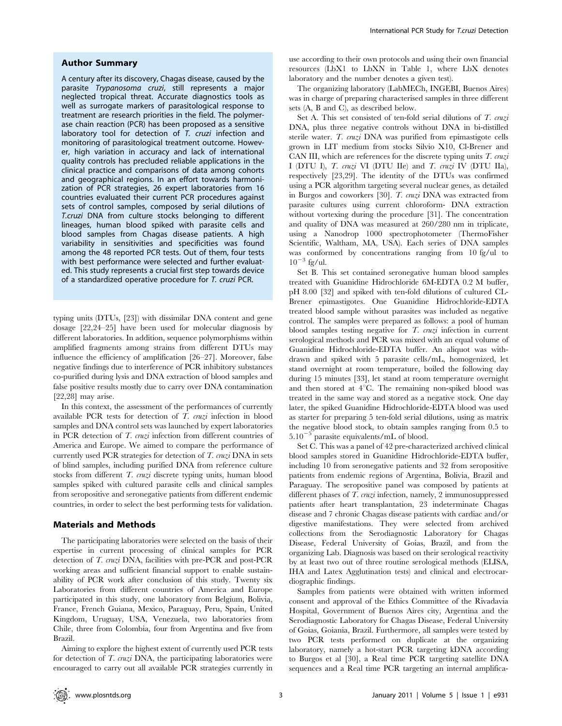# Author Summary

A century after its discovery, Chagas disease, caused by the parasite Trypanosoma cruzi, still represents a major neglected tropical threat. Accurate diagnostics tools as well as surrogate markers of parasitological response to treatment are research priorities in the field. The polymerase chain reaction (PCR) has been proposed as a sensitive laboratory tool for detection of T. cruzi infection and monitoring of parasitological treatment outcome. However, high variation in accuracy and lack of international quality controls has precluded reliable applications in the clinical practice and comparisons of data among cohorts and geographical regions. In an effort towards harmonization of PCR strategies, 26 expert laboratories from 16 countries evaluated their current PCR procedures against sets of control samples, composed by serial dilutions of T.cruzi DNA from culture stocks belonging to different lineages, human blood spiked with parasite cells and blood samples from Chagas disease patients. A high variability in sensitivities and specificities was found among the 48 reported PCR tests. Out of them, four tests with best performance were selected and further evaluated. This study represents a crucial first step towards device of a standardized operative procedure for T. cruzi PCR.

typing units (DTUs, [23]) with dissimilar DNA content and gene dosage [22,24–25] have been used for molecular diagnosis by different laboratories. In addition, sequence polymorphisms within amplified fragments among strains from different DTUs may influence the efficiency of amplification [26–27]. Moreover, false negative findings due to interference of PCR inhibitory substances co-purified during lysis and DNA extraction of blood samples and false positive results mostly due to carry over DNA contamination [22,28] may arise.

In this context, the assessment of the performances of currently available PCR tests for detection of T. cruzi infection in blood samples and DNA control sets was launched by expert laboratories in PCR detection of T. cruzi infection from different countries of America and Europe. We aimed to compare the performance of currently used PCR strategies for detection of  $T$ .  $cnuzi$  DNA in sets of blind samples, including purified DNA from reference culture stocks from different T. cruzi discrete typing units, human blood samples spiked with cultured parasite cells and clinical samples from seropositive and seronegative patients from different endemic countries, in order to select the best performing tests for validation.

# Materials and Methods

The participating laboratories were selected on the basis of their expertise in current processing of clinical samples for PCR detection of T. cruzi DNA, facilities with pre-PCR and post-PCR working areas and sufficient financial support to enable sustainability of PCR work after conclusion of this study. Twenty six Laboratories from different countries of America and Europe participated in this study, one laboratory from Belgium, Bolivia, France, French Guiana, Mexico, Paraguay, Peru, Spain, United Kingdom, Uruguay, USA, Venezuela, two laboratories from Chile, three from Colombia, four from Argentina and five from Brazil.

Aiming to explore the highest extent of currently used PCR tests for detection of  $T$ . cruzi DNA, the participating laboratories were encouraged to carry out all available PCR strategies currently in use according to their own protocols and using their own financial resources (LbX1 to LbXN in Table 1, where LbX denotes laboratory and the number denotes a given test).

The organizing laboratory (LabMECh, INGEBI, Buenos Aires) was in charge of preparing characterised samples in three different sets (A, B and C), as described below.

Set A. This set consisted of ten-fold serial dilutions of  $T$ . cruzi DNA, plus three negative controls without DNA in bi-distilled sterile water. T. cruzi DNA was purified from epimastigote cells grown in LIT medium from stocks Silvio X10, Cl-Brener and CAN III, which are references for the discrete typing units  $T$ , cruzi I (DTU I), T. cruzi VI (DTU IIe) and T. cruzi IV (DTU IIa), respectively [23,29]. The identity of the DTUs was confirmed using a PCR algorithm targeting several nuclear genes, as detailed in Burgos and coworkers [30]. T. cruzi DNA was extracted from parasite cultures using current chloroform- DNA extraction without vortexing during the procedure [31]. The concentration and quality of DNA was measured at 260/280 nm in triplicate, using a Nanodrop 1000 spectrophotometer (ThermoFisher Scientific, Waltham, MA, USA). Each series of DNA samples was conformed by concentrations ranging from 10 fg/ul to  $10^{-3}$  fg/ul.

Set B. This set contained seronegative human blood samples treated with Guanidine Hidrochloride 6M-EDTA 0.2 M buffer, pH 8.00 [32] and spiked with ten-fold dilutions of cultured CL-Brener epimastigotes. One Guanidine Hidrochloride-EDTA treated blood sample without parasites was included as negative control. The samples were prepared as follows: a pool of human blood samples testing negative for  $T$ . cruzi infection in current serological methods and PCR was mixed with an equal volume of Guanidine Hidrochloride-EDTA buffer. An aliquot was withdrawn and spiked with 5 parasite cells/mL, homogenized, let stand overnight at room temperature, boiled the following day during 15 minutes [33], let stand at room temperature overnight and then stored at  $4^{\circ}$ C. The remaining non-spiked blood was treated in the same way and stored as a negative stock. One day later, the spiked Guanidine Hidrochloride-EDTA blood was used as starter for preparing 5 ten-fold serial dilutions, using as matrix the negative blood stock, to obtain samples ranging from 0.5 to  $5.10^{-5}$  parasite equivalents/mL of blood.

Set C. This was a panel of 42 pre-characterized archived clinical blood samples stored in Guanidine Hidrochloride-EDTA buffer, including 10 from seronegative patients and 32 from seropositive patients from endemic regions of Argentina, Bolivia, Brazil and Paraguay. The seropositive panel was composed by patients at different phases of T. cruzi infection, namely, 2 immunosuppressed patients after heart transplantation, 23 indeterminate Chagas disease and 7 chronic Chagas disease patients with cardiac and/or digestive manifestations. They were selected from archived collections from the Serodiagnostic Laboratory for Chagas Disease, Federal University of Goias, Brazil, and from the organizing Lab. Diagnosis was based on their serological reactivity by at least two out of three routine serological methods (ELISA, IHA and Latex Agglutination tests) and clinical and electrocardiographic findings.

Samples from patients were obtained with written informed consent and approval of the Ethics Committee of the Rivadavia Hospital, Government of Buenos Aires city, Argentina and the Serodiagnostic Laboratory for Chagas Disease, Federal University of Goias, Goiania, Brazil. Furthermore, all samples were tested by two PCR tests performed on duplicate at the organizing laboratory, namely a hot-start PCR targeting kDNA according to Burgos et al [30], a Real time PCR targeting satellite DNA sequences and a Real time PCR targeting an internal amplifica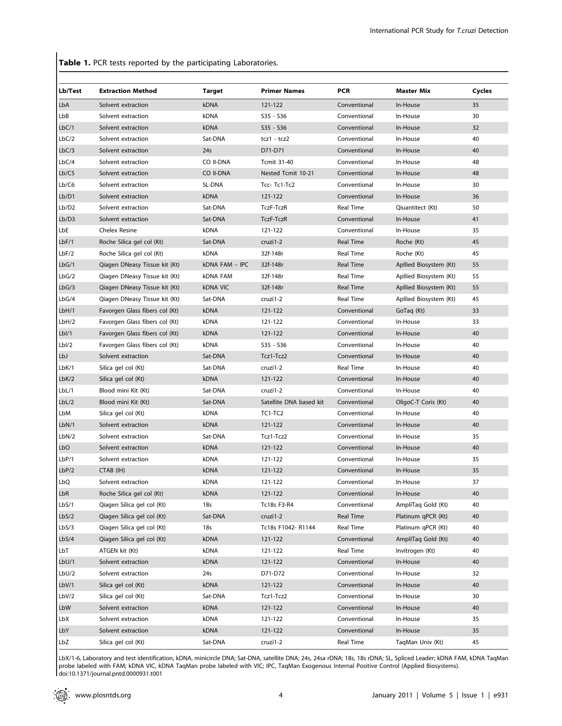Table 1. PCR tests reported by the participating Laboratories.

| Lb/Test | <b>Extraction Method</b>       | <b>Target</b>   | <b>Primer Names</b>     | <b>PCR</b>       | <b>Master Mix</b>      | Cycles |
|---------|--------------------------------|-----------------|-------------------------|------------------|------------------------|--------|
| LbA     | Solvent extraction             | <b>kDNA</b>     | 121-122                 | Conventional     | In-House               | 35     |
| LbB     | Solvent extraction             | kDNA            | S35 - S36               | Conventional     | In-House               | 30     |
| LbC/1   | Solvent extraction             | kDNA            | S35 - S36               | Conventional     | In-House               | 32     |
| LbC/2   | Solvent extraction             | Sat-DNA         | $tcz1 - tcz2$           | Conventional     | In-House               | 40     |
| LbC/3   | Solvent extraction             | 24s             | D71-D71                 | Conventional     | In-House               | 40     |
| LbC/4   | Solvent extraction             | CO II-DNA       | Tcmit 31-40             | Conventional     | In-House               | 48     |
| Lb/C5   | Solvent extraction             | CO II-DNA       | Nested Tcmit 10-21      | Conventional     | In-House               | 48     |
| Lb/C6   | Solvent extraction             | SL-DNA          | Tcc-Tc1-Tc2             | Conventional     | In-House               | 30     |
| Lb/D1   | Solvent extraction             | kDNA            | 121-122                 | Conventional     | In-House               | 36     |
| Lb/D2   | Solvent extraction             | Sat-DNA         | TczF-TczR               | Real Time        | Qiuantitect (Kt)       | 50     |
| Lb/D3   | Solvent extraction             | Sat-DNA         | TczF-TczR               | Conventional     | In-House               | 41     |
| LbE     | Chelex Resine                  | kDNA            | 121-122                 | Conventional     | In-House               | 35     |
| Lbf/1   | Roche Silica gel col (Kt)      | Sat-DNA         | cruzi1-2                | Real Time        | Roche (Kt)             | 45     |
| Lbf/2   | Roche Silica gel col (Kt)      | kDNA            | 32f-148r                | Real Time        | Roche (Kt)             | 45     |
| LbG/1   | Qiagen DNeasy Tissue kit (Kt)  | kDNA FAM - IPC  | 32f-148r                | <b>Real Time</b> | Apllied Biosystem (Kt) | 55     |
| LbG/2   | Qiagen DNeasy Tissue kit (Kt)  | <b>kDNA FAM</b> | 32f-148r                | Real Time        | Apllied Biosystem (Kt) | 55     |
| LbG/3   | Qiagen DNeasy Tissue kit (Kt)  | <b>kDNA VIC</b> | 32f-148r                | <b>Real Time</b> | Apllied Biosystem (Kt) | 55     |
| LbG/4   | Qiagen DNeasy Tissue kit (Kt)  | Sat-DNA         | cruzi1-2                | Real Time        | Apllied Biosystem (Kt) | 45     |
| LbH/1   | Favorgen Glass fibers col (Kt) | kDNA            | 121-122                 | Conventional     | GoTaq (Kt)             | 33     |
| LbH/2   | Favorgen Glass fibers col (Kt) | kDNA            | 121-122                 | Conventional     | In-House               | 33     |
| LbI/1   | Favorgen Glass fibers col (Kt) | kDNA            | 121-122                 | Conventional     | In-House               | 40     |
| LbI/2   | Favorgen Glass fibers col (Kt) | kDNA            | S35 - S36               | Conventional     | In-House               | 40     |
| LbJ     | Solvent extraction             | Sat-DNA         | Tcz1-Tcz2               | Conventional     | In-House               | 40     |
| LbK/1   | Silica gel col (Kt)            | Sat-DNA         | cruzi1-2                | Real Time        | In-House               | 40     |
| LbK/2   | Silica gel col (Kt)            | kDNA            | 121-122                 | Conventional     | In-House               | 40     |
| LbL/1   | Blood mini Kit (Kt)            | Sat-DNA         | cruzi1-2                | Conventional     | In-House               | 40     |
| LbL/2   | Blood mini Kit (Kt)            | Sat-DNA         | Satellite DNA based kit | Conventional     | OligoC-T Coris (Kt)    | 40     |
| LbM     | Silica gel col (Kt)            | kDNA            | TC1-TC2                 | Conventional     | In-House               | 40     |
| LbN/1   | Solvent extraction             | <b>kDNA</b>     | 121-122                 | Conventional     | In-House               | 40     |
| LbN/2   | Solvent extraction             | Sat-DNA         | Tcz1-Tcz2               | Conventional     | In-House               | 35     |
| LbO     | Solvent extraction             | kDNA            | 121-122                 | Conventional     | In-House               | 40     |
| LbP/1   | Solvent extraction             | kDNA            | 121-122                 | Conventional     | In-House               | 35     |
| LbP/2   | CTAB (IH)                      | <b>kDNA</b>     | 121-122                 | Conventional     | In-House               | 35     |
| LbQ     | Solvent extraction             | kDNA            | 121-122                 | Conventional     | In-House               | 37     |
| LbR     | Roche Silica gel col (Kt)      | kDNA            | 121-122                 | Conventional     | In-House               | 40     |
| LbS/1   | Qiagen Silica gel col (Kt)     | 18s             | Tc18s F3-R4             | Conventional     | AmpliTag Gold (Kt)     | 40     |
| LbS/2   | Qiagen Silica gel col (Kt)     | Sat-DNA         | cruzi1-2                | Real Time        | Platinum qPCR (Kt)     | 40     |
| LbS/3   | Qiagen Silica gel col (Kt)     | 18 <sub>s</sub> | Tc18s F1042- R1144      | Real Time        | Platinum qPCR (Kt)     | 40     |
| LbS/4   | Qiagen Silica gel col (Kt)     | kDNA            | 121-122                 | Conventional     | AmpliTaq Gold (Kt)     | 40     |
| LbT     | ATGEN kit (Kt)                 | kDNA            | 121-122                 | Real Time        | Invitrogen (Kt)        | 40     |
| LbU/1   | Solvent extraction             | kDNA            | 121-122                 | Conventional     | In-House               | 40     |
| LbU/2   | Solvent extraction             | 24s             | D71-D72                 | Conventional     | In-House               | 32     |
| LbV/1   | Silica gel col (Kt)            | kDNA            | 121-122                 | Conventional     | In-House               | 40     |
| LbV/2   | Silica gel col (Kt)            | Sat-DNA         | Tcz1-Tcz2               | Conventional     | In-House               | 30     |
| LbW     | Solvent extraction             | kDNA            | 121-122                 | Conventional     | In-House               | 40     |
|         | Solvent extraction             | kDNA            | 121-122                 | Conventional     | In-House               | 35     |
| LbX     |                                |                 |                         |                  |                        |        |
| LbY     | Solvent extraction             | kDNA            | 121-122                 | Conventional     | In-House               | 35     |

LbX/1-6, Laboratory and test identification, kDNA, minicircle DNA; Sat-DNA, satellite DNA; 24s, 24sa rDNA; 18s, 18s rDNA; SL, Spliced Leader; kDNA FAM, kDNA TaqMan probe labeled with FAM; kDNA VIC, kDNA TaqMan probe labeled with VIC; IPC, TaqMan Exogenous Internal Positive Control (Applied Biosystems). doi:10.1371/journal.pntd.0000931.t001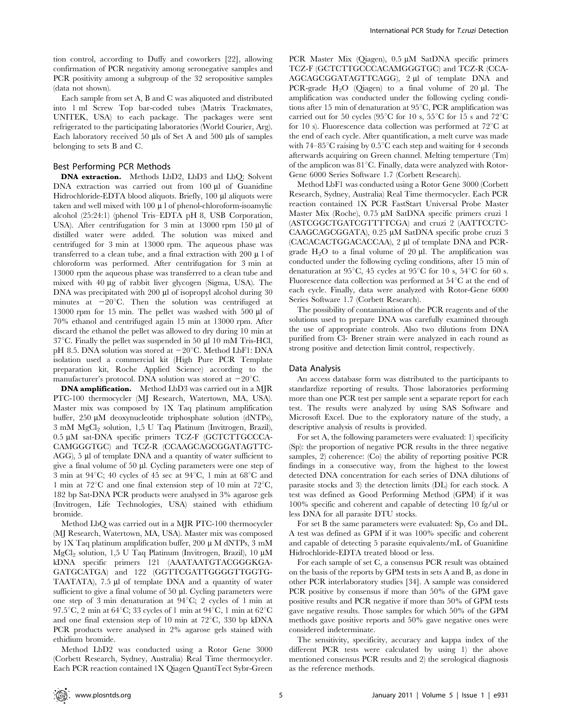tion control, according to Duffy and coworkers [22], allowing confirmation of PCR negativity among seronegative samples and PCR positivity among a subgroup of the 32 seropositive samples (data not shown).

Each sample from set A, B and C was aliquoted and distributed into 1 ml Screw Top bar-coded tubes (Matrix Trackmates, UNITEK, USA) to each package. The packages were sent refrigerated to the participating laboratories (World Courier, Arg). Each laboratory received  $50 \mu$ ls of Set A and  $500 \mu$ ls of samples belonging to sets B and C.

# Best Performing PCR Methods

DNA extraction. Methods LbD2, LbD3 and LbQ: Solvent DNA extraction was carried out from 100 µl of Guanidine Hidrochloride-EDTA blood aliquots. Briefly, 100 µl aliquots were taken and well mixed with  $100 \mu$  l of phenol-chloroform-isoamylic alcohol (25:24:1) (phenol Tris–EDTA pH 8, USB Corporation, USA). After centrifugation for 3 min at 13000 rpm 150 µl of distilled water were added. The solution was mixed and centrifuged for 3 min at 13000 rpm. The aqueous phase was transferred to a clean tube, and a final extraction with 200  $\mu$  l of chloroform was performed. After centrifugation for 3 min at 13000 rpm the aqueous phase was transferred to a clean tube and mixed with 40 µg of rabbit liver glycogen (Sigma, USA). The DNA was precipitated with 200 µl of isopropyl alcohol during 30 minutes at  $-20^{\circ}$ C. Then the solution was centrifuged at 13000 rpm for 15 min. The pellet was washed with  $500 \mu l$  of 70% ethanol and centrifuged again 15 min at 13000 rpm. After discard the ethanol the pellet was allowed to dry during 10 min at  $37^{\circ}$ C. Finally the pellet was suspended in 50 µl 10 mM Tris-HCl, pH 8.5. DNA solution was stored at  $-20^{\circ}$ C. Method LbF1: DNA isolation used a commercial kit (High Pure PCR Template preparation kit, Roche Applied Science) according to the manufacturer's protocol. DNA solution was stored at  $-20^{\circ}$ C.

DNA amplification. Method LbD3 was carried out in a MJR PTC-100 thermocycler (MJ Research, Watertown, MA, USA). Master mix was composed by 1X Taq platinum amplification buffer,  $250 \mu M$  deoxynucleotide triphosphate solution (dNTPs),  $3 \text{ mM } \text{MgCl}_2$  solution,  $1,5 \text{ U }$  Taq Platinum (Invitrogen, Brazil),  $0.5 \mu M$  sat-DNA specific primers TCZ-F (GCTCTTGCCCA-CAMGGGTGC) and TCZ-R (CCAAGCAGCGGATAGTTC-AGG), 5 µl of template DNA and a quantity of water sufficient to give a final volume of  $50 \mu$ . Cycling parameters were one step of 3 min at  $94^{\circ}$ C; 40 cycles of 45 sec at  $94^{\circ}$ C, 1 min at  $68^{\circ}$ C and 1 min at  $72^{\circ}$ C and one final extension step of 10 min at  $72^{\circ}$ C, 182 bp Sat-DNA PCR products were analysed in 3% agarose gels (Invitrogen, Life Technologies, USA) stained with ethidium bromide.

Method LbQ was carried out in a MJR PTC-100 thermocycler (MJ Research, Watertown, MA, USA). Master mix was composed by 1X Taq platinum amplification buffer, 200  $\mu$  M dNTPs, 3 mM MgCl<sub>2</sub> solution, 1,5 U Taq Platinum (Invitrogen, Brazil), 10  $\mu$ M kDNA specific primers 121 (AAATAATGTACGGGKGA-GATGCATGA) and 122 (GGTTCGATTGGGGTTGGTG-TAATATA), 7.5 µl of template DNA and a quantity of water sufficient to give a final volume of  $50 \mu$ l. Cycling parameters were one step of 3 min denaturation at  $94^{\circ}$ C; 2 cycles of 1 min at 97.5°C, 2 min at 64°C; 33 cycles of 1 min at 94°C, 1 min at 62°C and one final extension step of 10 min at 72 $^{\circ}$ C, 330 bp kDNA PCR products were analysed in 2% agarose gels stained with ethidium bromide.

Method LbD2 was conducted using a Rotor Gene 3000 (Corbett Research, Sydney, Australia) Real Time thermocycler. Each PCR reaction contained 1X Qiagen QuantiTect Sybr-Green PCR Master Mix (Qiagen), 0.5 µM SatDNA specific primers TCZ-F (GCTCTTGCCCACAMGGGTGC) and TCZ-R (CCA-AGCAGCGGATAGTTCAGG), 2 µl of template DNA and PCR-grade  $H_2O$  (Qiagen) to a final volume of 20 µl. The amplification was conducted under the following cycling conditions after 15 min of denaturation at  $95^{\circ}$ C, PCR amplification was carried out for 50 cycles (95<sup>o</sup>C for 10 s, 55<sup>o</sup>C for 15 s and 72<sup>o</sup>C for 10 s). Fluorescence data collection was performed at  $72^{\circ}$ C at the end of each cycle. After quantification, a melt curve was made with 74–85 $\rm ^{\circ}C$  raising by 0.5 $\rm ^{\circ}C$  each step and waiting for 4 seconds afterwards acquiring on Green channel. Melting temperture (Tm) of the amplicon was  $81^{\circ}$ C. Finally, data were analyzed with Rotor-Gene 6000 Series Software 1.7 (Corbett Research).

Method LbF1 was conducted using a Rotor Gene 3000 (Corbett Research, Sydney, Australia) Real Time thermocycler. Each PCR reaction contained 1X PCR FastStart Universal Probe Master Master Mix (Roche), 0.75 µM SatDNA specific primers cruzi 1 (ASTCGGCTGATCGTTTTCGA) and cruzi 2 (AATTCCTC-CAAGCAGCGGATA), 0.25 µM SatDNA specific probe cruzi 3 (CACACACTGGACACCAA), 2 ml of template DNA and PCRgrade  $H_2O$  to a final volume of 20 µl. The amplification was conducted under the following cycling conditions, after 15 min of denaturation at 95 $^{\circ}$ C, 45 cycles at 95 $^{\circ}$ C for 10 s, 54 $^{\circ}$ C for 60 s. Fluorescence data collection was performed at  $54^{\circ}$ C at the end of each cycle. Finally, data were analyzed with Rotor-Gene 6000 Series Software 1.7 (Corbett Research).

The possibility of contamination of the PCR reagents and of the solutions used to prepare DNA was carefully examined through the use of appropriate controls. Also two dilutions from DNA purified from Cl- Brener strain were analyzed in each round as strong positive and detection limit control, respectively.

## Data Analysis

An access database form was distributed to the participants to standardize reporting of results. Those laboratories performing more than one PCR test per sample sent a separate report for each test. The results were analyzed by using SAS Software and Microsoft Excel. Due to the exploratory nature of the study, a descriptive analysis of results is provided.

For set A, the following parameters were evaluated: 1) specificity (Sp): the proportion of negative PCR results in the three negative samples, 2) coherence: (Co) the ability of reporting positive PCR findings in a consecutive way, from the highest to the lowest detected DNA concentration for each series of DNA dilutions of parasite stocks and 3) the detection limits (DL) for each stock. A test was defined as Good Performing Method (GPM) if it was 100% specific and coherent and capable of detecting 10 fg/ul or less DNA for all parasite DTU stocks.

For set B the same parameters were evaluated: Sp, Co and DL. A test was defined as GPM if it was 100% specific and coherent and capable of detecting 5 parasite equivalents/mL of Guanidine Hidrochloride-EDTA treated blood or less.

For each sample of set C, a consensus PCR result was obtained on the basis of the reports by GPM tests in sets A and B, as done in other PCR interlaboratory studies [34]. A sample was considered PCR positive by consensus if more than 50% of the GPM gave positive results and PCR negative if more than 50% of GPM tests gave negative results. Those samples for which 50% of the GPM methods gave positive reports and 50% gave negative ones were considered indeterminate.

The sensitivity, specificity, accuracy and kappa index of the different PCR tests were calculated by using 1) the above mentioned consensus PCR results and 2) the serological diagnosis as the reference methods.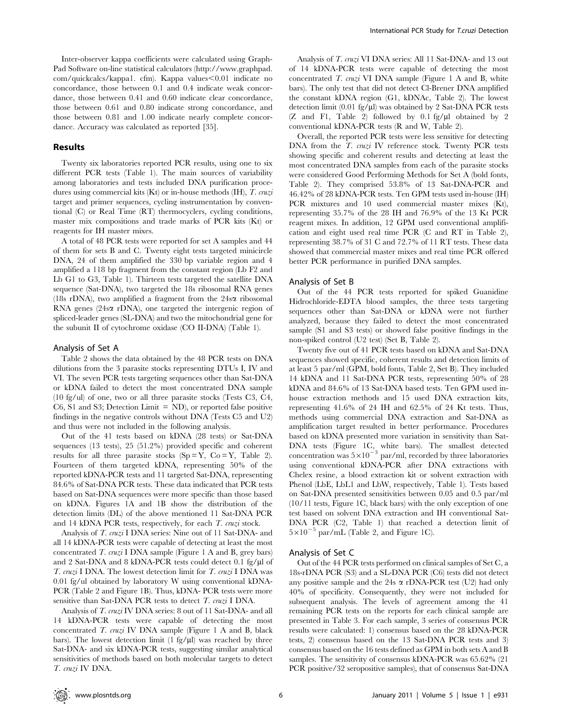Inter-observer kappa coefficients were calculated using Graph-Pad Software on-line statistical calculators (http://www.graphpad. com/quickcalcs/kappa1. cfm). Kappa values<0.01 indicate no concordance, those between 0.1 and 0.4 indicate weak concordance, those between 0.41 and 0.60 indicate clear concordance, those between 0.61 and 0.80 indicate strong concordance, and those between 0.81 and 1.00 indicate nearly complete concordance. Accuracy was calculated as reported [35].

## Results

Twenty six laboratories reported PCR results, using one to six different PCR tests (Table 1). The main sources of variability among laboratories and tests included DNA purification procedures using commercial kits  $(Kt)$  or in-house methods  $(IH)$ , T. cruzi target and primer sequences, cycling instrumentation by conventional (C) or Real Time (RT) thermocyclers, cycling conditions, master mix compositions and trade marks of PCR kits (Kt) or reagents for IH master mixes.

A total of 48 PCR tests were reported for set A samples and 44 of them for sets B and C. Twenty eight tests targeted minicircle DNA, 24 of them amplified the 330 bp variable region and 4 amplified a 118 bp fragment from the constant region (Lb F2 and Lb G1 to G3, Table 1). Thirteen tests targeted the satellite DNA sequence (Sat-DNA), two targeted the 18s ribosomal RNA genes (18s rDNA), two amplified a fragment from the  $24s\alpha$  ribosomal RNA genes (24s $\alpha$  rDNA), one targeted the intergenic region of spliced-leader genes (SL-DNA) and two the mitochondrial gene for the subunit II of cytochrome oxidase (CO II-DNA) (Table 1).

#### Analysis of Set A

Table 2 shows the data obtained by the 48 PCR tests on DNA dilutions from the 3 parasite stocks representing DTUs I, IV and VI. The seven PCR tests targeting sequences other than Sat-DNA or kDNA failed to detect the most concentrated DNA sample (10 fg/ul) of one, two or all three parasite stocks (Tests C3, C4, C6, S1 and S3; Detection Limit = ND), or reported false positive findings in the negative controls without DNA (Tests C5 and U2) and thus were not included in the following analysis.

Out of the 41 tests based on kDNA (28 tests) or Sat-DNA sequences (13 tests), 25 (51.2%) provided specific and coherent results for all three parasite stocks  $(Sp = Y, Co = Y, Table 2)$ . Fourteen of them targeted kDNA, representing 50% of the reported kDNA-PCR tests and 11 targeted Sat-DNA, representing 84.6% of Sat-DNA PCR tests. These data indicated that PCR tests based on Sat-DNA sequences were more specific than those based on kDNA. Figures 1A and 1B show the distribution of the detection limits (DL) of the above mentioned 11 Sat-DNA PCR and 14 kDNA PCR tests, respectively, for each T. cruzi stock.

Analysis of T. cruzi I DNA series: Nine out of 11 Sat-DNA- and all 14 kDNA-PCR tests were capable of detecting at least the most concentrated T. cruzi I DNA sample (Figure 1 A and B, grey bars) and 2 Sat-DNA and 8 kDNA-PCR tests could detect  $0.1 \text{ fg/}\mu\text{l of}$ T. cruzi I DNA. The lowest detection limit for T. cruzi I DNA was 0.01 fg/ul obtained by laboratory W using conventional kDNA-PCR (Table 2 and Figure 1B). Thus, kDNA- PCR tests were more sensitive than Sat-DNA PCR tests to detect T. cruzi I DNA.

Analysis of T. cruzi IV DNA series: 8 out of 11 Sat-DNA- and all 14 kDNA-PCR tests were capable of detecting the most concentrated T. cruzi IV DNA sample (Figure 1 A and B, black bars). The lowest detection limit  $(1 \text{ fg/}\mu\text{l})$  was reached by three Sat-DNA- and six kDNA-PCR tests, suggesting similar analytical sensitivities of methods based on both molecular targets to detect T. cruzi IV DNA.

Analysis of T. cruzi VI DNA series: All 11 Sat-DNA- and 13 out of 14 kDNA-PCR tests were capable of detecting the most concentrated T. cruzi VI DNA sample (Figure 1 A and B, white bars). The only test that did not detect Cl-Brener DNA amplified the constant kDNA region (G1, kDNAc, Table 2). The lowest detection limit  $(0.01 \text{ fg/}\mu\text{l})$  was obtained by 2 Sat-DNA PCR tests (Z and F1, Table 2) followed by  $0.1$  fg/ $\mu$ l obtained by 2 conventional kDNA-PCR tests (R and W, Table 2).

Overall, the reported PCR tests were less sensitive for detecting DNA from the *T. cruzi* IV reference stock. Twenty PCR tests showing specific and coherent results and detecting at least the most concentrated DNA samples from each of the parasite stocks were considered Good Performing Methods for Set A (bold fonts, Table 2). They comprised 53.8% of 13 Sat-DNA-PCR and 46.42% of 28 kDNA-PCR tests. Ten GPM tests used in-house (IH) PCR mixtures and 10 used commercial master mixes (Kt), representing 35.7% of the 28 IH and 76.9% of the 13 Kt PCR reagent mixes. In addition, 12 GPM used conventional amplification and eight used real time PCR (C and RT in Table 2), representing 38.7% of 31 C and 72.7% of 11 RT tests. These data showed that commercial master mixes and real time PCR offered better PCR performance in purified DNA samples.

### Analysis of Set B

Out of the 44 PCR tests reported for spiked Guanidine Hidrochloride-EDTA blood samples, the three tests targeting sequences other than Sat-DNA or kDNA were not further analyzed, because they failed to detect the most concentrated sample (S1 and S3 tests) or showed false positive findings in the non-spiked control (U2 test) (Set B, Table 2).

Twenty five out of 41 PCR tests based on kDNA and Sat-DNA sequences showed specific, coherent results and detection limits of at least 5 par/ml (GPM, bold fonts, Table 2, Set B). They included 14 kDNA and 11 Sat-DNA PCR tests, representing 50% of 28 kDNA and 84.6% of 13 Sat-DNA based tests. Ten GPM used inhouse extraction methods and 15 used DNA extraction kits, representing 41.6% of 24 IH and 62.5% of 24 Kt tests. Thus, methods using commercial DNA extraction and Sat-DNA as amplification target resulted in better performance. Procedures based on kDNA presented more variation in sensitivity than Sat-DNA tests (Figure 1C, white bars). The smallest detected concentration was  $5\times10^{-3}$  par/ml, recorded by three laboratories using conventional kDNA-PCR after DNA extractions with Chelex resine, a blood extraction kit or solvent extraction with Phenol (LbE, LbL1 and LbW, respectively, Table 1). Tests based on Sat-DNA presented sensitivities between 0.05 and 0.5 par/ml (10/11 tests, Figure 1C, black bars) with the only exception of one test based on solvent DNA extraction and IH conventional Sat-DNA PCR (C2, Table 1) that reached a detection limit of  $5\times10^{-5}$  par/mL (Table 2, and Figure 1C).

#### Analysis of Set C

Out of the 44 PCR tests performed on clinical samples of Set C, a 18s-rDNA PCR (S3) and a SL-DNA PCR (C6) tests did not detect any positive sample and the 24s  $\alpha$  rDNA-PCR test (U2) had only 40% of specificity. Consequently, they were not included for subsequent analysis. The levels of agreement among the 41 remaining PCR tests on the reports for each clinical sample are presented in Table 3. For each sample, 3 series of consensus PCR results were calculated: 1) consensus based on the 28 kDNA-PCR tests, 2) consensus based on the 13 Sat-DNA PCR tests and 3) consensus based on the 16 tests defined as GPM in both sets A and B samples. The sensitivity of consensus kDNA-PCR was 65.62% (21 PCR positive/32 seropositive samples), that of consensus Sat-DNA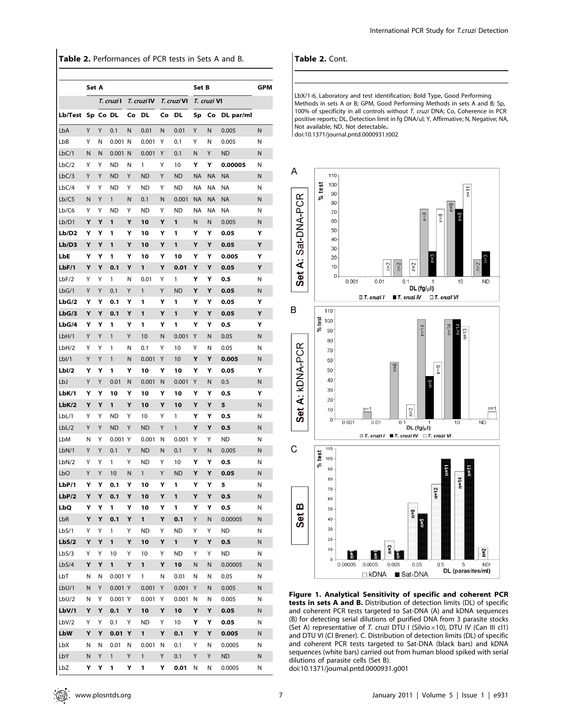Table 2. Performances of PCR tests in Sets A and B.

|         | Set A |          |              |    |              |    |              | Set B     |             |           | <b>GPM</b> |  |
|---------|-------|----------|--------------|----|--------------|----|--------------|-----------|-------------|-----------|------------|--|
|         |       |          | T. cruzi I   |    | T. cruzi IV  |    | T. cruzi VI  |           | T. cruzi VI |           |            |  |
| Lb/Test |       | Sp Co DL |              | Co | DL           | Co | DL           | Sp        | Co          | DL par/ml |            |  |
| LbA     | Y     | Y        | 0.1          | N  | 0.01         | N  | 0.01         | Y         | N           | 0.005     | N          |  |
| LbB     | Υ     | N        | 0.001 N      |    | 0.001        | Υ  | 0.1          | Υ         | Ν           | 0.005     | Ν          |  |
| LbC/1   | N     | N        | 0.001 N      |    | 0.001        | Y  | 0.1          | N         | Υ           | <b>ND</b> | N          |  |
| LbC/2   | Υ     | Υ        | <b>ND</b>    | Ν  | 1            | Υ  | 10           | Υ         | Υ           | 0.00005   | N          |  |
| LbC/3   | Υ     | Υ        | <b>ND</b>    | Υ  | <b>ND</b>    | Y  | <b>ND</b>    | <b>NA</b> | <b>NA</b>   | <b>NA</b> | N          |  |
| LbC/4   | Υ     | Υ        | <b>ND</b>    | Υ  | <b>ND</b>    | Υ  | <b>ND</b>    | <b>NA</b> | NA          | <b>NA</b> | Ν          |  |
| Lb/C5   | N     | Y        | $\mathbf{1}$ | N  | 0.1          | N  | 0.001        | <b>NA</b> | <b>NA</b>   | <b>NA</b> | N          |  |
| Lb/C6   | Υ     | Y        | <b>ND</b>    | Υ  | <b>ND</b>    | Υ  | ND           | <b>NA</b> | <b>NA</b>   | <b>NA</b> | Ν          |  |
| Lb/D1   | Y     | Υ        | 1            | Y  | 10           | Y  | 1            | ${\sf N}$ | N           | 0.005     | N          |  |
| Lb/D2   | Υ     | Υ        | 1            | Υ  | 10           | Υ  | 1            | Υ         | Υ           | 0.05      | Υ          |  |
| Lb/D3   | Υ     | Y        | 1            | Y  | 10           | Y  | 1            | Y         | Y           | 0.05      | Y          |  |
| LbE     | Υ     | Υ        | 1            | Υ  | 10           | Υ  | 10           | Υ         | Υ           | 0.005     | Υ          |  |
| Lbf/1   | Υ     | Y        | 0.1          | Y  | 1            | Υ  | 0.01         | Υ         | Y           | 0.05      | Y          |  |
| Lbf/2   | Υ     | Υ        | 1            | Ν  | 0.01         | Y  | 1            | Υ         | Υ           | 0.5       | Ν          |  |
| LbG/1   | Y     | Y        | 0.1          | Y  | $\mathbf{1}$ | Y  | <b>ND</b>    | Y         | Y           | 0.05      | N          |  |
| LbG/2   | Υ     | Υ        | 0.1          | Υ  | 1            | Υ  | 1            | Υ         | Υ           | 0.05      | Υ          |  |
| LbG/3   | Υ     | Y        | 0.1          | Υ  | 1            | Y  | 1            | Y         | Y           | 0.05      | Y          |  |
| LbG/4   | Y     | Υ        | 1            | Υ  | 1            | Υ  | 1            | Υ         | Υ           | 0.5       | Υ          |  |
| LbH/1   | Υ     | Y        | $\mathbf{1}$ | Υ  | 10           | N  | 0.001        | Υ         | N           | 0.05      | N          |  |
| LbH/2   | Y     | Y        | 1            | N  | 0.1          | Y  | 10           | Y         | N           | 0.05      | N          |  |
| LbI/1   | Y     | Υ        | $\mathbf{1}$ | Ν  | 0.001        | Y  | 10           | Υ         | Υ           | 0.005     | N          |  |
| LbI/2   | Υ     | Υ        | 1            | Υ  | 10           | Υ  | 10           | Υ         | Υ           | 0.05      | Υ          |  |
| LbJ     | Υ     | Υ        | 0.01         | N  | 0.001        | Ν  | 0.001        | Υ         | N           | 0.5       | N          |  |
| LbK/1   | Υ     | Υ        | 10           | Υ  | 10           | Υ  | 10           | Y         | Y           | 0.5       | Υ          |  |
| LbK/2   | Υ     | Y        | 1            | Y  | 10           | Y  | 10           | Y         | Y           | 5         | N          |  |
| LbL/1   | Υ     | Υ        | <b>ND</b>    | Υ  | 10           | Y  | 1            | Υ         | Υ           | 0.5       | Ν          |  |
| LbL/2   | Y     | Y        | <b>ND</b>    | Y  | <b>ND</b>    | Y  | $\mathbf{1}$ | Y         | Y           | 0.5       | N          |  |
| LbM     | Ν     | Υ        | 0.001 Y      |    | 0.001        | Ν  | 0.001        | Υ         | Υ           | <b>ND</b> | Ν          |  |
| LbN/1   | Υ     | Y        | 0.1          | Υ  | <b>ND</b>    | N  | 0.1          | Y         | N           | 0.005     | N          |  |
| LbN/2   | Υ     | Υ        | 1            | Υ  | <b>ND</b>    | Y  | 10           | Υ         | Υ           | 0.5       | Ν          |  |
| LbO     | Y     | Υ        | 10           | N  | $\mathbf{1}$ | Y  | <b>ND</b>    | Υ         | Υ           | 0.05      | N          |  |
| LbP/1   | Y     | Υ        | 0.1          | Υ  | 10           | Υ  | 1            | Υ         | Υ           | 5         | Ν          |  |
| LbP/2   | Υ     | Υ        | 0.1          | Υ  | 10           | Υ  | 1            | Υ         | Υ           | 0.5       | N          |  |
| LbQ     | Υ     | Y        | 1            | Y  | 10           | Υ  | 1            | Υ         | Y           | 0.5       | Ν          |  |
| LbR     | Υ     | Υ        | 0.1          | Υ  | $\mathbf{1}$ | Υ  | 0.1          | Υ         | N           | 0.00005   | N          |  |
| LbS/1   | Υ     | Υ        | 1            | Υ  | ND           | Υ  | ND           | Υ         | Υ           | ND        | Ν          |  |
| LbS/2   | Υ     | Υ        | 1            | Υ  | 10           | Υ  | 1            | Υ         | Υ           | 0.5       | N          |  |
| LbS/3   | Υ     | Υ        | 10           | Υ  | 10           | Y  | ND           | Y         | Υ           | ND        | Ν          |  |
| LbS/4   | Υ     | Υ        | 1            | Υ  | 1            | Υ  | 10           | N         | N           | 0.00005   | N          |  |
| LbT     | Ν     | Ν        | 0.001 Y      |    | 1            | Ν  | 0.01         | Ν         | Ν           | 0.05      | Ν          |  |
| LbU/1   | N     | Υ        | 0.001 Y      |    | 0.001        | Υ  | 0.001        | Υ         | Ν           | 0.005     | N          |  |
| LbU/2   | Ν     | Υ        | 0.001 Y      |    | 0.001        | Υ  | 0.001        | N         | Ν           | 0.005     | Ν          |  |
| LbV/1   | Υ     | Υ        | 0.1          | Υ  | 10           | Υ  | 10           | Υ         | Υ           | 0.05      | N          |  |
| LbV/2   | Υ     | Υ        | 0.1          | Y  | ND           | Υ  | 10           | Υ         | Υ           | 0.05      | Ν          |  |
| LbW     | Υ     | Υ        | 0.01         | Υ  | 1            | Υ  | 0.1          | Υ         | Υ           | 0.005     | N          |  |
| LbX     | Ν     | Ν        | 0.01         | Ν  | 0.001        | Ν  | 0.1          | Y         | Ν           | 0.0005    | Ν          |  |
| LbY     | N     | Υ        | 1            | Υ  | 1            | Υ  | 0.1          | Υ         | Υ           | ND        | N          |  |
| LbZ     | Υ     | Υ        | 1            | Υ  | 1            | Υ  | 0.01         | Ν         | Ν           | 0.0005    | Ν          |  |

# Table 2. Cont.

LbX/1-6, Laboratory and test identification; Bold Type, Good Performing Methods in sets A or B; GPM, Good Performing Methods in sets A and B; Sp, 100% of specificity in all controls without T. cruzi DNA; Co, Coherence in PCR positive reports; DL, Detection limit in fg DNA/ul; Y, Affirmative; N, Negative; NA, Not available; ND, Not detectable. doi:10.1371/journal.pntd.0000931.t002



Figure 1. Analytical Sensitivity of specific and coherent PCR tests in sets A and B. Distribution of detection limits (DL) of specific and coherent PCR tests targeted to Sat-DNA (A) and kDNA sequences (B) for detecting serial dilutions of purified DNA from 3 parasite stocks (Set A) representative of T. cruzi DTU I (Silvio $\times$ 10), DTU IV (Can III cl1) and DTU VI (Cl Brener). C. Distribution of detection limits (DL) of specific and coherent PCR tests targeted to Sat-DNA (black bars) and kDNA sequences (white bars) carried out from human blood spiked with serial dilutions of parasite cells (Set B).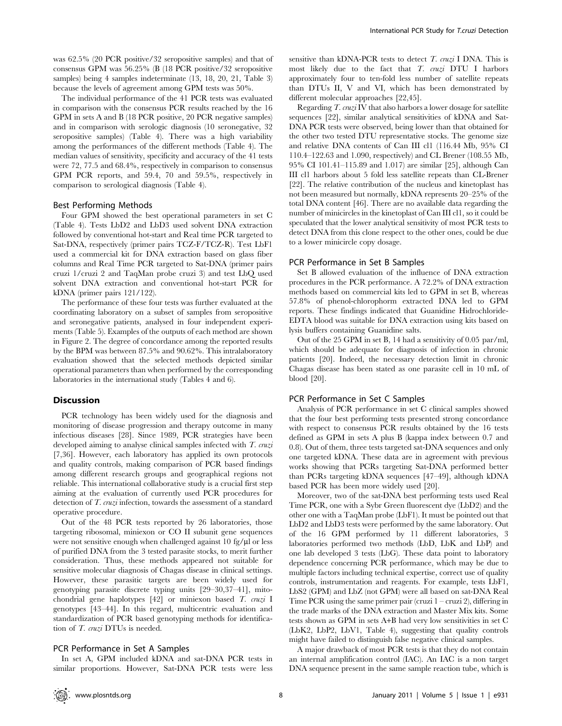was 62.5% (20 PCR positive/32 seropositive samples) and that of consensus GPM was 56.25% (B (18 PCR positive/32 seropositive samples) being 4 samples indeterminate (13, 18, 20, 21, Table 3) because the levels of agreement among GPM tests was 50%.

The individual performance of the 41 PCR tests was evaluated in comparison with the consensus PCR results reached by the 16 GPM in sets A and B (18 PCR positive, 20 PCR negative samples) and in comparison with serologic diagnosis (10 seronegative, 32 seropositive samples) (Table 4). There was a high variability among the performances of the different methods (Table 4). The median values of sensitivity, specificity and accuracy of the 41 tests were 72, 77.5 and 68.4%, respectively in comparison to consensus GPM PCR reports, and 59.4, 70 and 59.5%, respectively in comparison to serological diagnosis (Table 4).

# Best Performing Methods

Four GPM showed the best operational parameters in set C (Table 4). Tests LbD2 and LbD3 used solvent DNA extraction followed by conventional hot-start and Real time PCR targeted to Sat-DNA, respectively (primer pairs TCZ-F/TCZ-R). Test LbF1 used a commercial kit for DNA extraction based on glass fiber columns and Real Time PCR targeted to Sat-DNA (primer pairs cruzi 1/cruzi 2 and TaqMan probe cruzi 3) and test LbQ used solvent DNA extraction and conventional hot-start PCR for kDNA (primer pairs 121/122).

The performance of these four tests was further evaluated at the coordinating laboratory on a subset of samples from seropositive and seronegative patients, analysed in four independent experiments (Table 5). Examples of the outputs of each method are shown in Figure 2. The degree of concordance among the reported results by the BPM was between 87.5% and 90.62%. This intralaboratory evaluation showed that the selected methods depicted similar operational parameters than when performed by the corresponding laboratories in the international study (Tables 4 and 6).

## **Discussion**

PCR technology has been widely used for the diagnosis and monitoring of disease progression and therapy outcome in many infectious diseases [28]. Since 1989, PCR strategies have been developed aiming to analyse clinical samples infected with  $T$ . cruzi [7,36]. However, each laboratory has applied its own protocols and quality controls, making comparison of PCR based findings among different research groups and geographical regions not reliable. This international collaborative study is a crucial first step aiming at the evaluation of currently used PCR procedures for detection of T. cruzi infection, towards the assessment of a standard operative procedure.

Out of the 48 PCR tests reported by 26 laboratories, those targeting ribosomal, miniexon or CO II subunit gene sequences were not sensitive enough when challenged against  $10 \text{ fg/}\mu$ l or less of purified DNA from the 3 tested parasite stocks, to merit further consideration. Thus, these methods appeared not suitable for sensitive molecular diagnosis of Chagas disease in clinical settings. However, these parasitic targets are been widely used for genotyping parasite discrete typing units [29–30,37–41], mitochondrial gene haplotypes [42] or miniexon based T. cruzi I genotypes [43–44]. In this regard, multicentric evaluation and standardization of PCR based genotyping methods for identification of T. cruzi DTUs is needed.

### PCR Performance in Set A Samples

In set A, GPM included kDNA and sat-DNA PCR tests in similar proportions. However, Sat-DNA PCR tests were less

sensitive than kDNA-PCR tests to detect  $T$ . cruzi I DNA. This is most likely due to the fact that  $T$ . cruzi DTU I harbors approximately four to ten-fold less number of satellite repeats than DTUs II, V and VI, which has been demonstrated by different molecular approaches [22,45].

Regarding T. cruzi IV that also harbors a lower dosage for satellite sequences [22], similar analytical sensitivities of kDNA and Sat-DNA PCR tests were observed, being lower than that obtained for the other two tested DTU representative stocks. The genome size and relative DNA contents of Can III cl1 (116.44 Mb, 95% CI 110.4–122.63 and 1.090, respectively) and CL Brener (108.55 Mb, 95% CI 101.41–115.89 and 1.017) are similar [25], although Can III cl1 harbors about 5 fold less satellite repeats than CL-Brener [22]. The relative contribution of the nucleus and kinetoplast has not been measured but normally, kDNA represents 20–25% of the total DNA content [46]. There are no available data regarding the number of minicircles in the kinetoplast of Can III cl1, so it could be speculated that the lower analytical sensitivity of most PCR tests to detect DNA from this clone respect to the other ones, could be due to a lower minicircle copy dosage.

#### PCR Performance in Set B Samples

Set B allowed evaluation of the influence of DNA extraction procedures in the PCR performance. A 72.2% of DNA extraction methods based on commercial kits led to GPM in set B, whereas 57.8% of phenol-chlorophorm extracted DNA led to GPM reports. These findings indicated that Guanidine Hidrochloride-EDTA blood was suitable for DNA extraction using kits based on lysis buffers containing Guanidine salts.

Out of the 25 GPM in set B, 14 had a sensitivity of 0.05 par/ml, which should be adequate for diagnosis of infection in chronic patients [20]. Indeed, the necessary detection limit in chronic Chagas disease has been stated as one parasite cell in 10 mL of blood [20].

## PCR Performance in Set C Samples

Analysis of PCR performance in set C clinical samples showed that the four best performing tests presented strong concordance with respect to consensus PCR results obtained by the 16 tests defined as GPM in sets A plus B (kappa index between 0.7 and 0.8). Out of them, three tests targeted sat-DNA sequences and only one targeted kDNA. These data are in agreement with previous works showing that PCRs targeting Sat-DNA performed better than PCRs targeting kDNA sequences [47–49], although kDNA based PCR has been more widely used [20].

Moreover, two of the sat-DNA best performing tests used Real Time PCR, one with a Sybr Green fluorescent dye (LbD2) and the other one with a TaqMan probe (LbF1). It must be pointed out that LbD2 and LbD3 tests were performed by the same laboratory. Out of the 16 GPM performed by 11 different laboratories, 3 laboratories performed two methods (LbD, LbK and LbP) and one lab developed 3 tests (LbG). These data point to laboratory dependence concerning PCR performance, which may be due to multiple factors including technical expertise, correct use of quality controls, instrumentation and reagents. For example, tests LbF1, LbS2 (GPM) and LbZ (not GPM) were all based on sat-DNA Real Time PCR using the same primer pair (cruzi  $1 - \text{cruzi } 2$ ), differing in the trade marks of the DNA extraction and Master Mix kits. Some tests shown as GPM in sets A+B had very low sensitivities in set C (LbK2, LbP2, LbV1, Table 4), suggesting that quality controls might have failed to distinguish false negative clinical samples.

A major drawback of most PCR tests is that they do not contain an internal amplification control (IAC). An IAC is a non target DNA sequence present in the same sample reaction tube, which is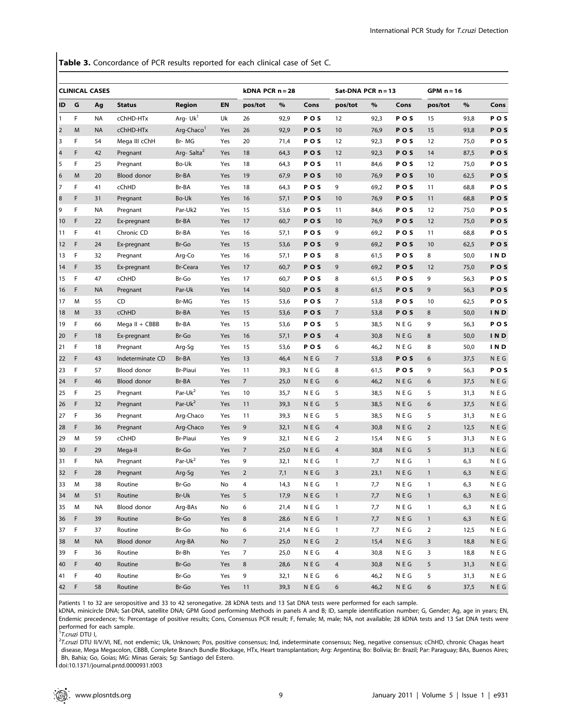Table 3. Concordance of PCR results reported for each clinical case of Set C.

|                          |   | <b>CLINICAL CASES</b> |                    |                        |           | kDNA PCR $n = 28$ |      |                 | Sat-DNA PCR $n = 13$ |      |                 | GPM $n = 16$   |      |                         |
|--------------------------|---|-----------------------|--------------------|------------------------|-----------|-------------------|------|-----------------|----------------------|------|-----------------|----------------|------|-------------------------|
| ID                       | G | Ag                    | <b>Status</b>      | Region                 | <b>EN</b> | pos/tot           | %    | Cons            | pos/tot              | %    | Cons            | pos/tot        | $\%$ | Cons                    |
| $\mathbf{1}$             | F | <b>NA</b>             | cChHD-HTx          | Arg-Uk <sup>1</sup>    | Uk        | 26                | 92,9 | PO <sub>S</sub> | 12                   | 92,3 | PO <sub>S</sub> | 15             | 93,8 | PO <sub>S</sub>         |
| $\overline{2}$           | M | <b>NA</b>             | cChHD-HTx          | Arg-Chaco <sup>1</sup> | Yes       | 26                | 92,9 | <b>POS</b>      | 10                   | 76,9 | PO <sub>S</sub> | 15             | 93,8 | PO <sub>S</sub>         |
| 3                        | F | 54                    | Mega III cChH      | Br-MG                  | Yes       | 20                | 71,4 | <b>POS</b>      | 12                   | 92,3 | POS             | 12             | 75,0 | POS                     |
| $\overline{\mathbf{4}}$  | F | 42                    | Pregnant           | Arg-Salta <sup>2</sup> | Yes       | 18                | 64,3 | POS             | 12                   | 92,3 | PO <sub>S</sub> | 14             | 87,5 | PO <sub>S</sub>         |
| $\overline{\phantom{a}}$ | F | 25                    | Pregnant           | Bo-Uk                  | Yes       | 18                | 64,3 | <b>POS</b>      | 11                   | 84,6 | <b>POS</b>      | 12             | 75,0 | POS                     |
| $6\overline{6}$          | M | 20                    | <b>Blood</b> donor | Br-BA                  | Yes       | 19                | 67,9 | <b>POS</b>      | 10                   | 76,9 | <b>POS</b>      | 10             | 62,5 | PO <sub>S</sub>         |
| 7                        | F | 41                    | cChHD              | Br-BA                  | Yes       | 18                | 64,3 | PO <sub>S</sub> | 9                    | 69,2 | PO <sub>S</sub> | 11             | 68,8 | PO <sub>S</sub>         |
| 8                        | F | 31                    | Pregnant           | Bo-Uk                  | Yes       | 16                | 57,1 | POS             | 10                   | 76,9 | PO <sub>S</sub> | 11             | 68,8 | PO <sub>S</sub>         |
| 9                        | F | NA                    | Pregnant           | Par-Uk2                | Yes       | 15                | 53,6 | <b>POS</b>      | 11                   | 84,6 | PO <sub>S</sub> | 12             | 75,0 | POS                     |
| 10                       | F | 22                    | Ex-pregnant        | Br-BA                  | Yes       | 17                | 60,7 | <b>POS</b>      | 10                   | 76,9 | PO <sub>S</sub> | 12             | 75,0 | POS                     |
| 11                       | F | 41                    | Chronic CD         | Br-BA                  | Yes       | 16                | 57,1 | <b>POS</b>      | 9                    | 69,2 | <b>POS</b>      | 11             | 68,8 | POS                     |
| 12                       | F | 24                    | Ex-pregnant        | Br-Go                  | Yes       | 15                | 53,6 | <b>POS</b>      | 9                    | 69,2 | <b>POS</b>      | 10             | 62,5 | PO <sub>S</sub>         |
| 13                       | F | 32                    | Pregnant           | Arg-Co                 | Yes       | 16                | 57,1 | <b>POS</b>      | 8                    | 61,5 | POS             | 8              | 50,0 | IND                     |
| 14                       | F | 35                    | Ex-pregnant        | <b>Br-Ceara</b>        | Yes       | 17                | 60,7 | POS             | 9                    | 69,2 | POS             | 12             | 75,0 | POS                     |
| 15                       | F | 47                    | cChHD              | Br-Go                  | Yes       | 17                | 60,7 | <b>POS</b>      | 8                    | 61,5 | PO <sub>S</sub> | 9              | 56,3 | PO <sub>S</sub>         |
| 16                       | F | <b>NA</b>             | Pregnant           | Par-Uk                 | Yes       | 14                | 50,0 | POS             | 8                    | 61,5 | PO <sub>S</sub> | 9              | 56,3 | POS                     |
| 17                       | M | 55                    | CD                 | Br-MG                  | Yes       | 15                | 53,6 | <b>POS</b>      | $\overline{7}$       | 53,8 | PO <sub>S</sub> | 10             | 62,5 | PO <sub>S</sub>         |
| 18                       | M | 33                    | cChHD              | Br-BA                  | Yes       | 15                | 53,6 | <b>POS</b>      | $\overline{7}$       | 53,8 | PO <sub>S</sub> | 8              | 50,0 | IND                     |
| 19                       | F | 66                    | Mega $II + CBBB$   | Br-BA                  | Yes       | 15                | 53,6 | <b>POS</b>      | 5                    | 38,5 | N E G           | 9              | 56,3 | POS                     |
| 20                       | F | 18                    | Ex-pregnant        | Br-Go                  | Yes       | 16                | 57,1 | <b>POS</b>      | $\overline{4}$       | 30,8 | N E G           | 8              | 50,0 | IND                     |
| 21                       | F | 18                    | Pregnant           | Arg-Sg                 | Yes       | 15                | 53,6 | <b>POS</b>      | 6                    | 46,2 | N E G           | 8              | 50,0 | IND                     |
| 22                       | F | 43                    | Indeterminate CD   | Br-BA                  | Yes       | 13                | 46,4 | N E G           | $\overline{7}$       | 53,8 | PO <sub>S</sub> | 6              | 37,5 | N E G                   |
| 23                       | F | 57                    | Blood donor        | <b>Br-Piaui</b>        | Yes       | 11                | 39,3 | N E G           | 8                    | 61,5 | PO <sub>S</sub> | 9              | 56,3 | PO <sub>S</sub>         |
| 24                       | F | 46                    | <b>Blood</b> donor | Br-BA                  | Yes       | $\overline{7}$    | 25,0 | N E G           | 6                    | 46,2 | N E G           | 6              | 37,5 | N E G                   |
| 25                       | F | 25                    | Pregnant           | Par-Uk <sup>2</sup>    | Yes       | 10                | 35,7 | N E G           | 5                    | 38,5 | N E G           | 5              | 31,3 | N E G                   |
| 26                       | F | 32                    | Pregnant           | Par-Uk <sup>2</sup>    | Yes       | 11                | 39,3 | N E G           | 5                    | 38,5 | N E G           | 6              | 37,5 | N E G                   |
| 27                       | F | 36                    | Pregnant           | Arg-Chaco              | Yes       | 11                | 39,3 | N E G           | 5                    | 38,5 | N E G           | 5              | 31,3 | N E G                   |
| 28                       | F | 36                    | Pregnant           | Arg-Chaco              | Yes       | 9                 | 32,1 | N E G           | $\overline{4}$       | 30,8 | N E G           | $\overline{2}$ | 12,5 | N E G                   |
| 29                       | M | 59                    | cChHD              | Br-Piaui               | Yes       | 9                 | 32,1 | N E G           | $\overline{2}$       | 15,4 | N E G           | 5              | 31,3 | N E G                   |
| 30                       | F | 29                    | Mega-II            | Br-Go                  | Yes       | $\overline{7}$    | 25,0 | N E G           | $\overline{4}$       | 30,8 | N E G           | 5              | 31,3 | N E G                   |
| 31                       | F | <b>NA</b>             | Pregnant           | Par-Uk <sup>2</sup>    | Yes       | 9                 | 32,1 | N E G           | $\mathbf{1}$         | 7,7  | N E G           | $\mathbf{1}$   | 6,3  | N E G                   |
| 32                       | F | 28                    | Pregnant           | Arg-Sg                 | Yes       | $\overline{2}$    | 7,1  | N E G           | 3                    | 23,1 | N E G           | $\mathbf{1}$   | 6,3  | N E G                   |
| 33                       | M | 38                    | Routine            | Br-Go                  | No        | 4                 | 14,3 | N E G           | $\mathbf{1}$         | 7,7  | N E G           | $\mathbf{1}$   | 6,3  | N E G                   |
| 34                       | M | 51                    | Routine            | Br-Uk                  | Yes       | 5                 | 17,9 | N E G           | $\mathbf{1}$         | 7,7  | N E G           | $\mathbf{1}$   | 6,3  | $\mathsf N\to\mathsf G$ |
| 35                       | M | NA                    | Blood donor        | Arg-BAs                | No        | 6                 | 21,4 | N E G           | $\mathbf{1}$         | 7,7  | N E G           | $\mathbf{1}$   | 6,3  | $N \, E \, G$           |
| 36                       | F | 39                    | Routine            | Br-Go                  | Yes       | 8                 | 28,6 | N E G           | $\mathbf{1}$         | 7,7  | $N \, E \, G$   | $\mathbf{1}$   | 6,3  | $N \, E \, G$           |
| 37                       | F | 37                    | Routine            | Br-Go                  | No        | 6                 | 21,4 | N E G           | $\mathbf{1}$         | 7,7  | N E G           | $\overline{2}$ | 12,5 | N E G                   |
| 38                       | M | <b>NA</b>             | Blood donor        | Arg-BA                 | No        | $\overline{7}$    | 25,0 | N E G           | $\overline{2}$       | 15,4 | N E G           | $\mathsf{3}$   | 18,8 | N E G                   |
| 39                       | F | 36                    | Routine            | Br-Bh                  | Yes       | 7                 | 25,0 | N E G           | 4                    | 30,8 | $N \, E \, G$   | 3              | 18,8 | N E G                   |
| 40                       | F | 40                    | Routine            | Br-Go                  | Yes       | 8                 | 28,6 | N E G           | $\overline{4}$       | 30,8 | $N \, E \, G$   | 5              | 31,3 | N E G                   |
| 41                       | F | 40                    | Routine            | Br-Go                  | Yes       | 9                 | 32,1 | N E G           | 6                    | 46,2 | $N \, E \, G$   | 5              | 31,3 | N E G                   |
| 42                       | F | 58                    | Routine            | Br-Go                  | Yes       | 11                | 39,3 | N E G           | 6                    | 46,2 | N E G           | 6              | 37,5 | N E G                   |

Patients 1 to 32 are seropositive and 33 to 42 seronegative. 28 kDNA tests and 13 Sat DNA tests were performed for each sample.

kDNA, minicircle DNA; Sat-DNA, satellite DNA; GPM Good performing Methods in panels A and B; ID, sample identification number; G, Gender; Ag, age in years; EN, Endemic precedence; %: Percentage of positive results; Cons, Consensus PCR result; F, female; M, male; NA, not available; 28 kDNA tests and 13 Sat DNA tests were performed for each sample.

<sup>1</sup>T.cruzi DTU I,

<sup>1</sup>T.cruzi DTU I,<br><sup>2</sup>T.cruzi DTU II/V/VI, NE, not endemic; Uk, Unknown; Pos, positive consensus; Ind, indeterminate consensus; Neg, negative consensus; cChHD, chronic Chagas heart disease, Mega Megacolon, CBBB, Complete Branch Bundle Blockage, HTx, Heart transplantation; Arg: Argentina; Bo: Bolivia; Br: Brazil; Par: Paraguay; BAs, Buenos Aires; Bh, Bahia; Go, Goias; MG: Minas Gerais; Sg: Santiago del Estero.

doi:10.1371/journal.pntd.0000931.t003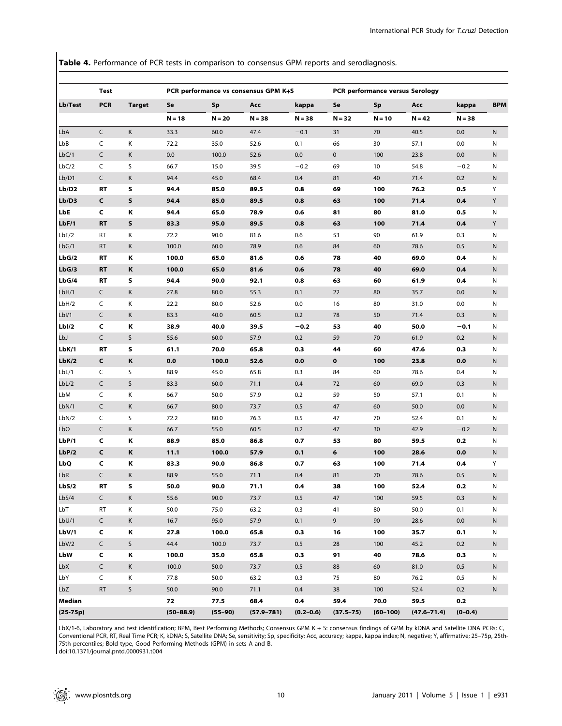Table 4. Performance of PCR tests in comparison to consensus GPM reports and serodiagnosis.

|                   | <b>Test</b>  |               |               |           | PCR performance vs consensus GPM K+S |               | PCR performance versus Serology |              |                 |           |              |
|-------------------|--------------|---------------|---------------|-----------|--------------------------------------|---------------|---------------------------------|--------------|-----------------|-----------|--------------|
| Lb/Test           | <b>PCR</b>   | <b>Target</b> | Se            | Sp        | Acc                                  | kappa         | Se                              | Sp           | Acc             | kappa     | <b>BPM</b>   |
|                   |              |               | $N = 18$      | $N = 20$  | $N = 38$                             | $N = 38$      | $N = 32$                        | $N = 10$     | $N = 42$        | $N = 38$  |              |
| LbA               | $\mathsf{C}$ | K             | 33.3          | 60.0      | 47.4                                 | $-0.1$        | 31                              | 70           | 40.5            | 0.0       | $\mathsf{N}$ |
| LbB               | C            | Κ             | 72.2          | 35.0      | 52.6                                 | 0.1           | 66                              | 30           | 57.1            | 0.0       | N            |
| LbC/1             | $\mathsf{C}$ | Κ             | 0.0           | 100.0     | 52.6                                 | 0.0           | $\mathbf 0$                     | 100          | 23.8            | 0.0       | N            |
| LbC/2             | C            | S             | 66.7          | 15.0      | 39.5                                 | $-0.2$        | 69                              | 10           | 54.8            | $-0.2$    | N            |
| Lb/D1             | C            | Κ             | 94.4          | 45.0      | 68.4                                 | 0.4           | 81                              | 40           | 71.4            | 0.2       | ${\sf N}$    |
| Lb/D <sub>2</sub> | RT           | s             | 94.4          | 85.0      | 89.5                                 | 0.8           | 69                              | 100          | 76.2            | 0.5       | Υ            |
| Lb/D3             | C            | S             | 94.4          | 85.0      | 89.5                                 | 0.8           | 63                              | 100          | 71.4            | 0.4       | Y            |
| LbE               | C            | Κ             | 94.4          | 65.0      | 78.9                                 | 0.6           | 81                              | 80           | 81.0            | 0.5       | N            |
| LbF/1             | <b>RT</b>    | S             | 83.3          | 95.0      | 89.5                                 | 0.8           | 63                              | 100          | 71.4            | 0.4       | Υ            |
| Lbf/2             | RT           | Κ             | 72.2          | 90.0      | 81.6                                 | 0.6           | 53                              | 90           | 61.9            | 0.3       | N            |
| LbG/1             | RT           | K             | 100.0         | 60.0      | 78.9                                 | 0.6           | 84                              | 60           | 78.6            | 0.5       | N            |
| LbG/2             | RT           | Κ             | 100.0         | 65.0      | 81.6                                 | 0.6           | 78                              | 40           | 69.0            | 0.4       | N            |
| LbG/3             | <b>RT</b>    | Κ             | 100.0         | 65.0      | 81.6                                 | 0.6           | 78                              | 40           | 69.0            | 0.4       | N            |
| LbG/4             | RT           | s             | 94.4          | 90.0      | 92.1                                 | 0.8           | 63                              | 60           | 61.9            | 0.4       | N            |
| LbH/1             | C            | Κ             | 27.8          | 80.0      | 55.3                                 | 0.1           | 22                              | 80           | 35.7            | 0.0       | ${\sf N}$    |
| LbH/2             | C            | Κ             | 22.2          | 80.0      | 52.6                                 | 0.0           | 16                              | 80           | 31.0            | 0.0       | N            |
| Lbl/1             | $\mathsf C$  | Κ             | 83.3          | 40.0      | 60.5                                 | 0.2           | 78                              | 50           | 71.4            | 0.3       | ${\sf N}$    |
| Lbl/2             | C            | Κ             | 38.9          | 40.0      | 39.5                                 | $-0.2$        | 53                              | 40           | 50.0            | $-0.1$    | N            |
| LbJ               | $\mathsf{C}$ | S             | 55.6          | 60.0      | 57.9                                 | 0.2           | 59                              | 70           | 61.9            | 0.2       | ${\sf N}$    |
| LbK/1             | RT           | s             | 61.1          | 70.0      | 65.8                                 | 0.3           | 44                              | 60           | 47.6            | 0.3       | N            |
| LbK/2             | C            | K             | 0.0           | 100.0     | 52.6                                 | 0.0           | $\mathbf 0$                     | 100          | 23.8            | 0.0       | ${\sf N}$    |
| LbL/1             | C            | S             | 88.9          | 45.0      | 65.8                                 | 0.3           | 84                              | 60           | 78.6            | 0.4       | N            |
| LbL/2             | C            | S             | 83.3          | 60.0      | 71.1                                 | 0.4           | 72                              | 60           | 69.0            | 0.3       | ${\sf N}$    |
| LbM               | C            | Κ             | 66.7          | 50.0      | 57.9                                 | 0.2           | 59                              | 50           | 57.1            | 0.1       | N            |
| LbN/1             | $\mathsf C$  | Κ             | 66.7          | 80.0      | 73.7                                 | 0.5           | 47                              | 60           | 50.0            | 0.0       | ${\sf N}$    |
| LbN/2             | $\mathsf C$  | S             | 72.2          | 80.0      | 76.3                                 | 0.5           | 47                              | 70           | 52.4            | 0.1       | N            |
| LbO               | $\mathsf C$  | Κ             | 66.7          | 55.0      | 60.5                                 | 0.2           | 47                              | 30           | 42.9            | $-0.2$    | ${\sf N}$    |
| LbP/1             | C            | Κ             | 88.9          | 85.0      | 86.8                                 | 0.7           | 53                              | 80           | 59.5            | 0.2       | N            |
| LbP/2             | C            | Κ             | 11.1          | 100.0     | 57.9                                 | 0.1           | 6                               | 100          | 28.6            | 0.0       | ${\sf N}$    |
| LbQ               | C            | Κ             | 83.3          | 90.0      | 86.8                                 | 0.7           | 63                              | 100          | 71.4            | 0.4       | Υ            |
| LbR               | $\mathsf{C}$ | Κ             | 88.9          | 55.0      | 71.1                                 | 0.4           | 81                              | 70           | 78.6            | 0.5       | ${\sf N}$    |
| LbS/2             | RT           | S             | 50.0          | 90.0      | 71.1                                 | 0.4           | 38                              | 100          | 52.4            | 0.2       | N            |
| LbS/4             | $\mathsf C$  | К             | 55.6          | 90.0      | 73.7                                 | 0.5           | 47                              | 100          | 59.5            | 0.3       | ${\sf N}$    |
| LbT               | <b>RT</b>    | Κ             | 50.0          | 75.0      | 63.2                                 | 0.3           | 41                              | 80           | 50.0            | 0.1       | N            |
| LbU/1             | $\mathsf C$  | $\mathsf K$   | 16.7          | 95.0      | 57.9                                 | 0.1           | 9 <sup>°</sup>                  | 90           | 28.6            | 0.0       | ${\sf N}$    |
| LbV/1             | $\mathsf{c}$ | Κ             | 27.8          | 100.0     | 65.8                                 | 0.3           | 16                              | 100          | 35.7            | 0.1       | N            |
| LbV/2             | $\mathsf C$  | $\mathsf{S}$  | 44.4          | 100.0     | 73.7                                 | 0.5           | 28                              | 100          | 45.2            | 0.2       | ${\sf N}$    |
| LbW               | $\mathsf{c}$ | Κ             | 100.0         | 35.0      | 65.8                                 | 0.3           | 91                              | 40           | 78.6            | 0.3       | N            |
| LbX               | $\mathsf C$  | $\mathsf K$   | 100.0         | 50.0      | 73.7                                 | 0.5           | 88                              | 60           | 81.0            | 0.5       | N            |
| LbY               | $\mathsf C$  | К             | 77.8          | 50.0      | 63.2                                 | 0.3           | 75                              | 80           | 76.2            | $0.5\,$   | N            |
| LbZ               | <b>RT</b>    | S             | 50.0          | 90.0      | 71.1                                 | 0.4           | 38                              | 100          | 52.4            | 0.2       | N            |
| Median            |              |               | 72            | 77.5      | 68.4                                 | 0.4           | 59.4                            | 70.0         | 59.5            | 0.2       |              |
| $(25-75p)$        |              |               | $(50 - 88.9)$ | $(55-90)$ | $(57.9 - 781)$                       | $(0.2 - 0.6)$ | $(37.5 - 75)$                   | $(60 - 100)$ | $(47.6 - 71.4)$ | $(0-0.4)$ |              |

LbX/1-6, Laboratory and test identification; BPM, Best Performing Methods; Consensus GPM K + S: consensus findings of GPM by kDNA and Satellite DNA PCRs; C, Conventional PCR, RT, Real Time PCR; K, kDNA; S, Satellite DNA; Se, sensitivity; Sp, specificity; Acc, accuracy; kappa, kappa index; N, negative; Y, affirmative; 25–75p, 25th-75th percentiles; Bold type, Good Performing Methods (GPM) in sets A and B.

doi:10.1371/journal.pntd.0000931.t004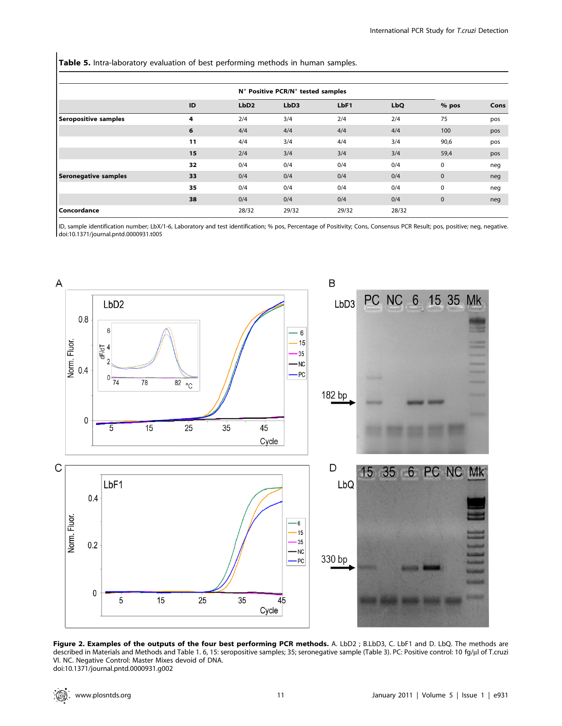Table 5. Intra-laboratory evaluation of best performing methods in human samples.

|                      | ID | N° Positive PCR/N° tested samples |                  |       |       |              |      |
|----------------------|----|-----------------------------------|------------------|-------|-------|--------------|------|
|                      |    | LbD <sub>2</sub>                  | LbD <sub>3</sub> | LbF1  | LbQ   | % pos        | Cons |
| Seropositive samples | 4  | 2/4                               | 3/4              | 2/4   | 2/4   | 75           | pos  |
|                      | 6  | 4/4                               | 4/4              | 4/4   | 4/4   | 100          | pos  |
|                      | 11 | 4/4                               | 3/4              | 4/4   | 3/4   | 90,6         | pos  |
|                      | 15 | 2/4                               | 3/4              | 3/4   | 3/4   | 59,4         | pos  |
|                      | 32 | 0/4                               | 0/4              | 0/4   | 0/4   | $\mathbf 0$  | neg  |
| Seronegative samples | 33 | 0/4                               | 0/4              | 0/4   | 0/4   | $\mathbf{0}$ | neg  |
|                      | 35 | 0/4                               | 0/4              | 0/4   | 0/4   | $\mathbf 0$  | neg  |
|                      | 38 | 0/4                               | 0/4              | 0/4   | 0/4   | $\mathbf{0}$ | neg  |
| l Concordance        |    | 28/32                             | 29/32            | 29/32 | 28/32 |              |      |

ID, sample identification number; LbX/1-6, Laboratory and test identification; % pos, Percentage of Positivity; Cons, Consensus PCR Result; pos, positive; neg, negative. doi:10.1371/journal.pntd.0000931.t005



Figure 2. Examples of the outputs of the four best performing PCR methods. A. LbD2 ; B.LbD3, C. LbF1 and D. LbQ. The methods are described in Materials and Methods and Table 1. 6, 15: seropositive samples; 35; seronegative sample (Table 3). PC: Positive control: 10 fg/ul of T.cruzi VI. NC. Negative Control: Master Mixes devoid of DNA. doi:10.1371/journal.pntd.0000931.g002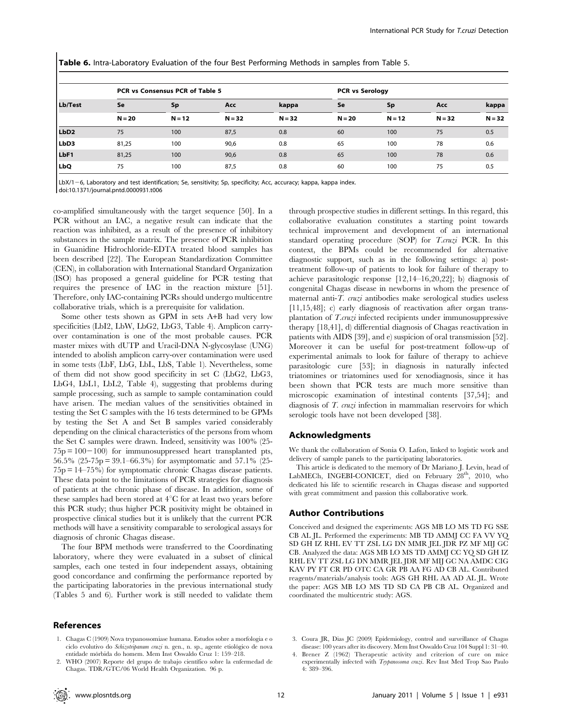Table 6. Intra-Laboratory Evaluation of the four Best Performing Methods in samples from Table 5.

| Lb/Test          |          | PCR vs Consensus PCR of Table 5 |          |          | <b>PCR vs Serology</b> |          |          |          |  |  |  |  |
|------------------|----------|---------------------------------|----------|----------|------------------------|----------|----------|----------|--|--|--|--|
|                  | Se       | Sp                              | Acc      | kappa    | Se                     | Sp       | Acc      | kappa    |  |  |  |  |
|                  | $N = 20$ | $N = 12$                        | $N = 32$ | $N = 32$ | $N = 20$               | $N = 12$ | $N = 32$ | $N = 32$ |  |  |  |  |
| LbD <sub>2</sub> | 75       | 100                             | 87,5     | 0.8      | 60                     | 100      | 75       | 0.5      |  |  |  |  |
| LbD <sub>3</sub> | 81,25    | 100                             | 90,6     | 0.8      | 65                     | 100      | 78       | 0.6      |  |  |  |  |
| LbF1             | 81,25    | 100                             | 90,6     | 0.8      | 65                     | 100      | 78       | 0.6      |  |  |  |  |
| LbQ              | 75       | 100                             | 87,5     | 0.8      | 60                     | 100      | 75       | 0.5      |  |  |  |  |

LbX/1-6, Laboratory and test identification; Se, sensitivity; Sp, specificity; Acc, accuracy; kappa, kappa index.

doi:10.1371/journal.pntd.0000931.t006

co-amplified simultaneously with the target sequence [50]. In a PCR without an IAC, a negative result can indicate that the reaction was inhibited, as a result of the presence of inhibitory substances in the sample matrix. The presence of PCR inhibition in Guanidine Hidrochloride-EDTA treated blood samples has been described [22]. The European Standardization Committee (CEN), in collaboration with International Standard Organization (ISO) has proposed a general guideline for PCR testing that requires the presence of IAC in the reaction mixture [51]. Therefore, only IAC-containing PCRs should undergo multicentre collaborative trials, which is a prerequisite for validation.

Some other tests shown as GPM in sets A+B had very low specificities (LbI2, LbW, LbG2, LbG3, Table 4). Amplicon carryover contamination is one of the most probable causes. PCR master mixes with dUTP and Uracil-DNA N-glycosylase (UNG) intended to abolish amplicon carry-over contamination were used in some tests (LbF, LbG, LbL, LbS, Table 1). Nevertheless, some of them did not show good specificity in set C (LbG2, LbG3, LbG4, LbL1, LbL2, Table 4), suggesting that problems during sample processing, such as sample to sample contamination could have arisen. The median values of the sensitivities obtained in testing the Set C samples with the 16 tests determined to be GPMs by testing the Set A and Set B samples varied considerably depending on the clinical characteristics of the persons from whom the Set C samples were drawn. Indeed, sensitivity was 100% (25-  $75p = 100-100$ ) for immunosuppressed heart transplanted pts, 56.5% (25-75p = 39.1–66.3%) for asymptomatic and 57.1% (25- 75p = 14–75%) for symptomatic chronic Chagas disease patients. These data point to the limitations of PCR strategies for diagnosis of patients at the chronic phase of disease. In addition, some of these samples had been stored at  $4^{\circ}$ C for at least two years before this PCR study; thus higher PCR positivity might be obtained in prospective clinical studies but it is unlikely that the current PCR methods will have a sensitivity comparable to serological assays for diagnosis of chronic Chagas disease.

The four BPM methods were transferred to the Coordinating laboratory, where they were evaluated in a subset of clinical samples, each one tested in four independent assays, obtaining good concordance and confirming the performance reported by the participating laboratories in the previous international study (Tables 5 and 6). Further work is still needed to validate them

# References

- 1. Chagas C (1909) Nova trypanossomiase humana. Estudos sobre a morfologia e o ciclo evolutivo do Schizotripanum cruzi n. gen., n. sp., agente etiológico de nova entidade mórbida do homem. Mem Inst Oswaldo Cruz 1: 159-218.
- 2. WHO (2007) Reporte del grupo de trabajo científico sobre la enfermedad de Chagas. TDR/GTC/06 World Health Organization. 96 p.

through prospective studies in different settings. In this regard, this collaborative evaluation constitutes a starting point towards technical improvement and development of an international standard operating procedure (SOP) for T.cruzi PCR. In this context, the BPMs could be recommended for alternative diagnostic support, such as in the following settings: a) posttreatment follow-up of patients to look for failure of therapy to achieve parasitologic response [12,14–16,20,22]; b) diagnosis of congenital Chagas disease in newborns in whom the presence of maternal anti- $T$ . cruzi antibodies make serological studies useless [11,15,48]; c) early diagnosis of reactivation after organ transplantation of T.cruzi infected recipients under immunosuppressive therapy [18,41], d) differential diagnosis of Chagas reactivation in patients with AIDS [39], and e) suspicion of oral transmission [52]. Moreover it can be useful for post-treatment follow-up of experimental animals to look for failure of therapy to achieve parasitologic cure [53]; in diagnosis in naturally infected triatomines or triatomines used for xenodiagnosis, since it has been shown that PCR tests are much more sensitive than microscopic examination of intestinal contents [37,54]; and diagnosis of T. cruzi infection in mammalian reservoirs for which serologic tools have not been developed [38].

# Acknowledgments

We thank the collaboration of Sonia O. Lafon, linked to logistic work and delivery of sample panels to the participating laboratories.

This article is dedicated to the memory of Dr Mariano J. Levin, head of LabMECh, INGEBI-CONICET, died on February 28<sup>th</sup>, 2010, who dedicated his life to scientific research in Chagas disease and supported with great commitment and passion this collaborative work.

# Author Contributions

Conceived and designed the experiments: AGS MB LO MS TD FG SSE CB AL JL. Performed the experiments: MB TD AMMJ CC FA VV YQ SD GH IZ RHL EV TT ZSL LG DN MMR JEL JDR PZ MF MIJ GC CB. Analyzed the data: AGS MB LO MS TD AMMJ CC YQ SD GH IZ RHL EV TT ZSL LG DN MMR JEL JDR MF MIJ GC NA AMDC CIG KAV PY FT CR PD OTC CA GR PB AA FG AD CB AL. Contributed reagents/materials/analysis tools: AGS GH RHL AA AD AL JL. Wrote the paper: AGS MB LO MS TD SD CA PB CB AL. Organized and coordinated the multicentric study: AGS.

<sup>3.</sup> Coura JR, Dias JC (2009) Epidemiology, control and surveillance of Chagas disease: 100 years after its discovery. Mem Inst Oswaldo Cruz 104 Suppl 1: 31–40.

<sup>4.</sup> Brener Z (1962) Therapeutic activity and criterion of cure on mice experimentally infected with Trypanosoma cruzi. Rev Inst Med Trop Sao Paulo 4: 389–396.